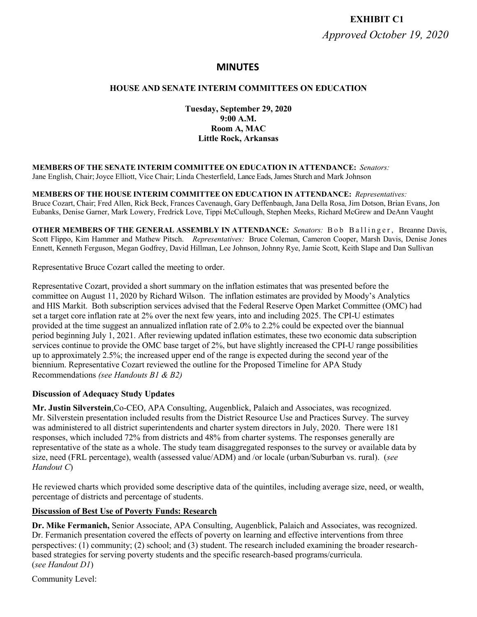# **EXHIBIT C1** *Approved October 19, 2020*

# **MINUTES**

### **HOUSE AND SENATE INTERIM COMMITTEES ON EDUCATION**

**Tuesday, September 29, 2020 9:00 A.M. Room A, MAC Little Rock, Arkansas**

**MEMBERS OF THE SENATE INTERIM COMMITTEE ON EDUCATION IN ATTENDANCE:** *Senators:* Jane English, Chair; Joyce Elliott, Vice Chair; Linda Chesterfield, Lance Eads, James Sturch and Mark Johnson

**MEMBERS OF THE HOUSE INTERIM COMMITTEE ON EDUCATION IN ATTENDANCE:** *Representatives:* Bruce Cozart, Chair; Fred Allen, Rick Beck, Frances Cavenaugh, Gary Deffenbaugh, Jana Della Rosa, Jim Dotson, Brian Evans, Jon Eubanks, Denise Garner, Mark Lowery, Fredrick Love, Tippi McCullough, Stephen Meeks, Richard McGrew and DeAnn Vaught

**OTHER MEMBERS OF THE GENERAL ASSEMBLY IN ATTENDANCE:** *Senators:* B o b B a l l i n g e r , Breanne Davis, Scott Flippo, Kim Hammer and Mathew Pitsch. *Representatives:* Bruce Coleman, Cameron Cooper, Marsh Davis, Denise Jones Ennett, Kenneth Ferguson, Megan Godfrey, David Hillman, Lee Johnson, Johnny Rye, Jamie Scott, Keith Slape and Dan Sullivan

Representative Bruce Cozart called the meeting to order.

Representative Cozart, provided a short summary on the inflation estimates that was presented before the committee on August 11, 2020 by Richard Wilson. The inflation estimates are provided by Moody's Analytics and HIS Markit. Both subscription services advised that the Federal Reserve Open Market Committee (OMC) had set a target core inflation rate at 2% over the next few years, into and including 2025. The CPI-U estimates provided at the time suggest an annualized inflation rate of 2.0% to 2.2% could be expected over the biannual period beginning July 1, 2021. After reviewing updated inflation estimates, these two economic data subscription services continue to provide the OMC base target of 2%, but have slightly increased the CPI-U range possibilities up to approximately 2.5%; the increased upper end of the range is expected during the second year of the biennium. Representative Cozart reviewed the outline for the Proposed Timeline for APA Study Recommendations *(see Handouts B1 & B2)*

### **Discussion of Adequacy Study Updates**

**Mr. Justin Silverstein**,Co-CEO, APA Consulting, Augenblick, Palaich and Associates, was recognized. Mr. Silverstein presentation included results from the District Resource Use and Practices Survey. The survey was administered to all district superintendents and charter system directors in July, 2020. There were 181 responses, which included 72% from districts and 48% from charter systems. The responses generally are representative of the state as a whole. The study team disaggregated responses to the survey or available data by size, need (FRL percentage), wealth (assessed value/ADM) and /or locale (urban/Suburban vs. rural). (*see Handout C*)

He reviewed charts which provided some descriptive data of the quintiles, including average size, need, or wealth, percentage of districts and percentage of students.

### **Discussion of Best Use of Poverty Funds: Research**

**Dr. Mike Fermanich,** Senior Associate, APA Consulting, Augenblick, Palaich and Associates, was recognized. Dr. Fermanich presentation covered the effects of poverty on learning and effective interventions from three perspectives: (1) community; (2) school; and (3) student. The research included examining the broader researchbased strategies for serving poverty students and the specific research-based programs/curricula. (*see Handout D1*)

Community Level: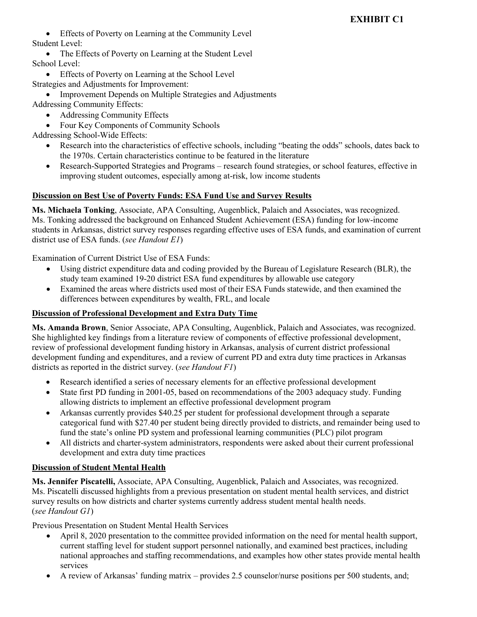# **EXHIBIT C1**

 Effects of Poverty on Learning at the Community Level Student Level:

• The Effects of Poverty on Learning at the Student Level School Level:

Effects of Poverty on Learning at the School Level

Strategies and Adjustments for Improvement:

 Improvement Depends on Multiple Strategies and Adjustments Addressing Community Effects:

- Addressing Community Effects
- Four Key Components of Community Schools

Addressing School-Wide Effects:

- Research into the characteristics of effective schools, including "beating the odds" schools, dates back to the 1970s. Certain characteristics continue to be featured in the literature
- Research-Supported Strategies and Programs research found strategies, or school features, effective in improving student outcomes, especially among at-risk, low income students

# **Discussion on Best Use of Poverty Funds: ESA Fund Use and Survey Results**

**Ms. Michaela Tonking**, Associate, APA Consulting, Augenblick, Palaich and Associates, was recognized. Ms. Tonking addressed the background on Enhanced Student Achievement (ESA) funding for low-income students in Arkansas, district survey responses regarding effective uses of ESA funds, and examination of current district use of ESA funds. (*see Handout E1*)

Examination of Current District Use of ESA Funds:

- Using district expenditure data and coding provided by the Bureau of Legislature Research (BLR), the study team examined 19-20 district ESA fund expenditures by allowable use category
- Examined the areas where districts used most of their ESA Funds statewide, and then examined the differences between expenditures by wealth, FRL, and locale

# **Discussion of Professional Development and Extra Duty Time**

**Ms. Amanda Brown**, Senior Associate, APA Consulting, Augenblick, Palaich and Associates, was recognized. She highlighted key findings from a literature review of components of effective professional development, review of professional development funding history in Arkansas, analysis of current district professional development funding and expenditures, and a review of current PD and extra duty time practices in Arkansas districts as reported in the district survey. (*see Handout F1*)

- Research identified a series of necessary elements for an effective professional development
- State first PD funding in 2001-05, based on recommendations of the 2003 adequacy study. Funding allowing districts to implement an effective professional development program
- Arkansas currently provides \$40.25 per student for professional development through a separate categorical fund with \$27.40 per student being directly provided to districts, and remainder being used to fund the state's online PD system and professional learning communities (PLC) pilot program
- All districts and charter-system administrators, respondents were asked about their current professional development and extra duty time practices

# **Discussion of Student Mental Health**

**Ms. Jennifer Piscatelli,** Associate, APA Consulting, Augenblick, Palaich and Associates, was recognized. Ms. Piscatelli discussed highlights from a previous presentation on student mental health services, and district survey results on how districts and charter systems currently address student mental health needs. (*see Handout G1*)

Previous Presentation on Student Mental Health Services

- April 8, 2020 presentation to the committee provided information on the need for mental health support, current staffing level for student support personnel nationally, and examined best practices, including national approaches and staffing recommendations, and examples how other states provide mental health services
- A review of Arkansas' funding matrix provides 2.5 counselor/nurse positions per 500 students, and;